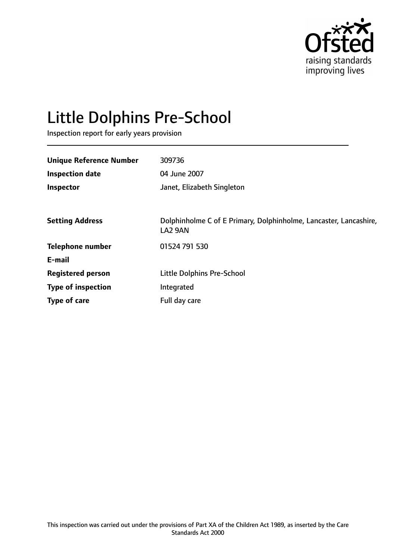

# Little Dolphins Pre-School

Inspection report for early years provision

| <b>Unique Reference Number</b> | 309736                                                                       |
|--------------------------------|------------------------------------------------------------------------------|
| <b>Inspection date</b>         | 04 June 2007                                                                 |
| Inspector                      | Janet, Elizabeth Singleton                                                   |
|                                |                                                                              |
| <b>Setting Address</b>         | Dolphinholme C of E Primary, Dolphinholme, Lancaster, Lancashire,<br>LA2 9AN |
| <b>Telephone number</b>        | 01524 791 530                                                                |
| E-mail                         |                                                                              |
| <b>Registered person</b>       | Little Dolphins Pre-School                                                   |
| <b>Type of inspection</b>      | Integrated                                                                   |
| Type of care                   | Full day care                                                                |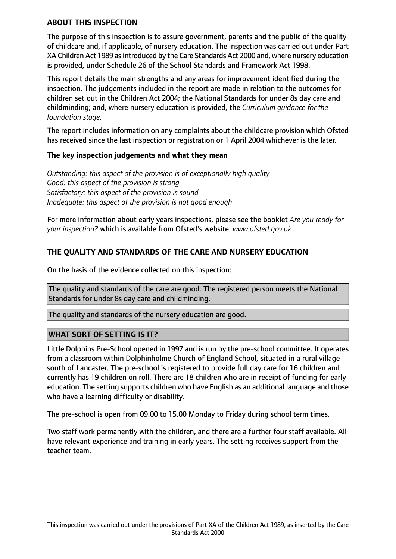#### **ABOUT THIS INSPECTION**

The purpose of this inspection is to assure government, parents and the public of the quality of childcare and, if applicable, of nursery education. The inspection was carried out under Part XA Children Act 1989 as introduced by the Care Standards Act 2000 and, where nursery education is provided, under Schedule 26 of the School Standards and Framework Act 1998.

This report details the main strengths and any areas for improvement identified during the inspection. The judgements included in the report are made in relation to the outcomes for children set out in the Children Act 2004; the National Standards for under 8s day care and childminding; and, where nursery education is provided, the *Curriculum guidance for the foundation stage.*

The report includes information on any complaints about the childcare provision which Ofsted has received since the last inspection or registration or 1 April 2004 whichever is the later.

#### **The key inspection judgements and what they mean**

*Outstanding: this aspect of the provision is of exceptionally high quality Good: this aspect of the provision is strong Satisfactory: this aspect of the provision is sound Inadequate: this aspect of the provision is not good enough*

For more information about early years inspections, please see the booklet *Are you ready for your inspection?* which is available from Ofsted's website: *www.ofsted.gov.uk.*

# **THE QUALITY AND STANDARDS OF THE CARE AND NURSERY EDUCATION**

On the basis of the evidence collected on this inspection:

The quality and standards of the care are good. The registered person meets the National Standards for under 8s day care and childminding.

The quality and standards of the nursery education are good.

## **WHAT SORT OF SETTING IS IT?**

Little Dolphins Pre-School opened in 1997 and is run by the pre-school committee. It operates from a classroom within Dolphinholme Church of England School, situated in a rural village south of Lancaster. The pre-school is registered to provide full day care for 16 children and currently has 19 children on roll. There are 18 children who are in receipt of funding for early education. The setting supports children who have English as an additional language and those who have a learning difficulty or disability.

The pre-school is open from 09.00 to 15.00 Monday to Friday during school term times.

Two staff work permanently with the children, and there are a further four staff available. All have relevant experience and training in early years. The setting receives support from the teacher team.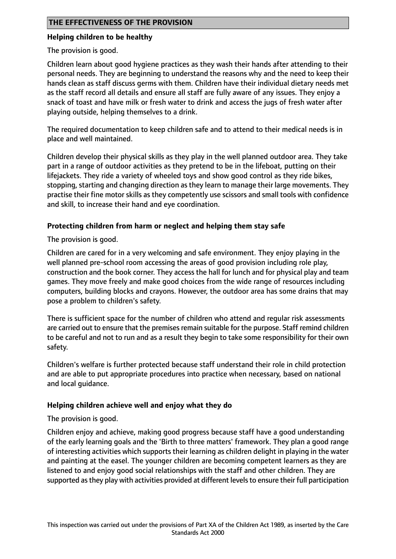## **THE EFFECTIVENESS OF THE PROVISION**

## **Helping children to be healthy**

The provision is good.

Children learn about good hygiene practices as they wash their hands after attending to their personal needs. They are beginning to understand the reasons why and the need to keep their hands clean as staff discuss germs with them. Children have their individual dietary needs met as the staff record all details and ensure all staff are fully aware of any issues. They enjoy a snack of toast and have milk or fresh water to drink and access the jugs of fresh water after playing outside, helping themselves to a drink.

The required documentation to keep children safe and to attend to their medical needs is in place and well maintained.

Children develop their physical skills as they play in the well planned outdoor area. They take part in a range of outdoor activities as they pretend to be in the lifeboat, putting on their lifejackets. They ride a variety of wheeled toys and show good control as they ride bikes, stopping, starting and changing direction as they learn to manage their large movements. They practise their fine motor skills as they competently use scissors and small tools with confidence and skill, to increase their hand and eye coordination.

# **Protecting children from harm or neglect and helping them stay safe**

The provision is good.

Children are cared for in a very welcoming and safe environment. They enjoy playing in the well planned pre-school room accessing the areas of good provision including role play, construction and the book corner. They access the hall for lunch and for physical play and team games. They move freely and make good choices from the wide range of resources including computers, building blocks and crayons. However, the outdoor area has some drains that may pose a problem to children's safety.

There is sufficient space for the number of children who attend and regular risk assessments are carried out to ensure that the premises remain suitable for the purpose. Staff remind children to be careful and not to run and as a result they begin to take some responsibility for their own safety.

Children's welfare is further protected because staff understand their role in child protection and are able to put appropriate procedures into practice when necessary, based on national and local guidance.

# **Helping children achieve well and enjoy what they do**

The provision is good.

Children enjoy and achieve, making good progress because staff have a good understanding of the early learning goals and the 'Birth to three matters' framework. They plan a good range of interesting activities which supports their learning as children delight in playing in the water and painting at the easel. The younger children are becoming competent learners as they are listened to and enjoy good social relationships with the staff and other children. They are supported as they play with activities provided at different levels to ensure their full participation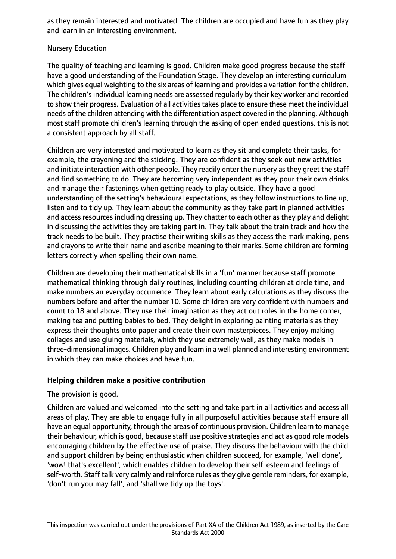as they remain interested and motivated. The children are occupied and have fun as they play and learn in an interesting environment.

## Nursery Education

The quality of teaching and learning is good. Children make good progress because the staff have a good understanding of the Foundation Stage. They develop an interesting curriculum which gives equal weighting to the six areas of learning and provides a variation for the children. The children's individual learning needs are assessed regularly by their key worker and recorded to show their progress. Evaluation of all activities takes place to ensure these meet the individual needs of the children attending with the differentiation aspect covered in the planning. Although most staff promote children's learning through the asking of open ended questions, this is not a consistent approach by all staff.

Children are very interested and motivated to learn as they sit and complete their tasks, for example, the crayoning and the sticking. They are confident as they seek out new activities and initiate interaction with other people. They readily enter the nursery as they greet the staff and find something to do. They are becoming very independent as they pour their own drinks and manage their fastenings when getting ready to play outside. They have a good understanding of the setting's behavioural expectations, as they follow instructions to line up, listen and to tidy up. They learn about the community as they take part in planned activities and access resources including dressing up. They chatter to each other as they play and delight in discussing the activities they are taking part in. They talk about the train track and how the track needs to be built. They practise their writing skills as they access the mark making, pens and crayons to write their name and ascribe meaning to their marks. Some children are forming letters correctly when spelling their own name.

Children are developing their mathematical skills in a 'fun' manner because staff promote mathematical thinking through daily routines, including counting children at circle time, and make numbers an everyday occurrence. They learn about early calculations as they discuss the numbers before and after the number 10. Some children are very confident with numbers and count to 18 and above. They use their imagination as they act out roles in the home corner, making tea and putting babies to bed. They delight in exploring painting materials as they express their thoughts onto paper and create their own masterpieces. They enjoy making collages and use gluing materials, which they use extremely well, as they make models in three-dimensional images. Children play and learn in a well planned and interesting environment in which they can make choices and have fun.

## **Helping children make a positive contribution**

## The provision is good.

Children are valued and welcomed into the setting and take part in all activities and access all areas of play. They are able to engage fully in all purposeful activities because staff ensure all have an equal opportunity, through the areas of continuous provision. Children learn to manage their behaviour, which is good, because staff use positive strategies and act as good role models encouraging children by the effective use of praise. They discuss the behaviour with the child and support children by being enthusiastic when children succeed, for example, 'well done', 'wow! that's excellent', which enables children to develop their self-esteem and feelings of self-worth. Staff talk very calmly and reinforce rules as they give gentle reminders, for example, 'don't run you may fall', and 'shall we tidy up the toys'.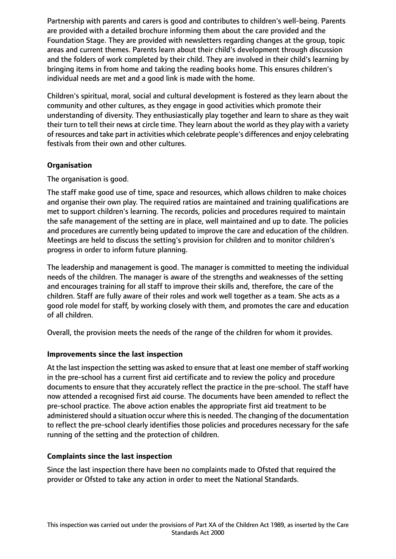Partnership with parents and carers is good and contributes to children's well-being. Parents are provided with a detailed brochure informing them about the care provided and the Foundation Stage. They are provided with newsletters regarding changes at the group, topic areas and current themes. Parents learn about their child's development through discussion and the folders of work completed by their child. They are involved in their child's learning by bringing items in from home and taking the reading books home. This ensures children's individual needs are met and a good link is made with the home.

Children's spiritual, moral, social and cultural development is fostered as they learn about the community and other cultures, as they engage in good activities which promote their understanding of diversity. They enthusiastically play together and learn to share as they wait their turn to tell their news at circle time. They learn about the world as they play with a variety of resources and take part in activities which celebrate people's differences and enjoy celebrating festivals from their own and other cultures.

# **Organisation**

The organisation is good.

The staff make good use of time, space and resources, which allows children to make choices and organise their own play. The required ratios are maintained and training qualifications are met to support children's learning. The records, policies and procedures required to maintain the safe management of the setting are in place, well maintained and up to date. The policies and procedures are currently being updated to improve the care and education of the children. Meetings are held to discuss the setting's provision for children and to monitor children's progress in order to inform future planning.

The leadership and management is good. The manager is committed to meeting the individual needs of the children. The manager is aware of the strengths and weaknesses of the setting and encourages training for all staff to improve their skills and, therefore, the care of the children. Staff are fully aware of their roles and work well together as a team. She acts as a good role model for staff, by working closely with them, and promotes the care and education of all children.

Overall, the provision meets the needs of the range of the children for whom it provides.

## **Improvements since the last inspection**

At the last inspection the setting was asked to ensure that at least one member of staff working in the pre-school has a current first aid certificate and to review the policy and procedure documents to ensure that they accurately reflect the practice in the pre-school. The staff have now attended a recognised first aid course. The documents have been amended to reflect the pre-school practice. The above action enables the appropriate first aid treatment to be administered should a situation occur where this is needed. The changing of the documentation to reflect the pre-school clearly identifies those policies and procedures necessary for the safe running of the setting and the protection of children.

# **Complaints since the last inspection**

Since the last inspection there have been no complaints made to Ofsted that required the provider or Ofsted to take any action in order to meet the National Standards.